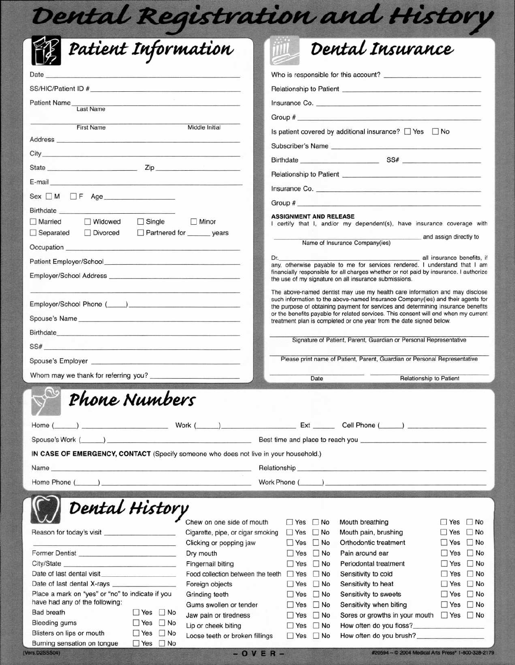| Dental Registration and History                                                                                                                                                                                                                       |                                                            |                                                                                                         |                                                                                                                                                                                                                                                    |                                                         |  |  |  |
|-------------------------------------------------------------------------------------------------------------------------------------------------------------------------------------------------------------------------------------------------------|------------------------------------------------------------|---------------------------------------------------------------------------------------------------------|----------------------------------------------------------------------------------------------------------------------------------------------------------------------------------------------------------------------------------------------------|---------------------------------------------------------|--|--|--|
| Patient Information                                                                                                                                                                                                                                   |                                                            |                                                                                                         | Dental Insurance                                                                                                                                                                                                                                   |                                                         |  |  |  |
| Date                                                                                                                                                                                                                                                  |                                                            |                                                                                                         |                                                                                                                                                                                                                                                    |                                                         |  |  |  |
|                                                                                                                                                                                                                                                       |                                                            |                                                                                                         | Relationship to Patient <b>Market and Contact Contact Contact Contact Contact Contact Contact Contact Contact Contact Contact Contact Contact Contact Contact Contact Contact Contact Contact Contact Contact Contact Contact Co</b>               |                                                         |  |  |  |
| Patient Name_<br><b>CONTRACTOR</b> CONTRACTOR CONTRACTOR CONTRACTOR<br>Last Name                                                                                                                                                                      |                                                            |                                                                                                         | Insurance Co.                                                                                                                                                                                                                                      |                                                         |  |  |  |
|                                                                                                                                                                                                                                                       |                                                            |                                                                                                         |                                                                                                                                                                                                                                                    |                                                         |  |  |  |
| <b>First Name</b>                                                                                                                                                                                                                                     | Middle Initial                                             | Is patient covered by additional insurance? □ Yes □ No                                                  |                                                                                                                                                                                                                                                    |                                                         |  |  |  |
|                                                                                                                                                                                                                                                       |                                                            | Subscriber's Name                                                                                       |                                                                                                                                                                                                                                                    |                                                         |  |  |  |
|                                                                                                                                                                                                                                                       |                                                            |                                                                                                         |                                                                                                                                                                                                                                                    |                                                         |  |  |  |
|                                                                                                                                                                                                                                                       |                                                            |                                                                                                         |                                                                                                                                                                                                                                                    |                                                         |  |  |  |
| E-mail entry and the contract of the contract of the contract of the contract of the contract of the                                                                                                                                                  |                                                            |                                                                                                         |                                                                                                                                                                                                                                                    |                                                         |  |  |  |
|                                                                                                                                                                                                                                                       |                                                            |                                                                                                         | Group $#$ and $#$ and $#$ and $#$ and $#$ and $#$ and $#$ and $#$ and $#$ and $#$ and $#$ and $#$ and $#$ and $#$ and $#$ and $#$ and $#$ and $#$ and $#$ and $#$ and $#$ and $#$ and $#$ and $#$ and $#$ and $#$ and $#$ and                      |                                                         |  |  |  |
| Birthdate<br>Widowed<br>$\Box$ Single<br>Married                                                                                                                                                                                                      | Minor                                                      | <b>ASSIGNMENT AND RELEASE</b><br>I certify that I, and/or my dependent(s), have insurance coverage with |                                                                                                                                                                                                                                                    |                                                         |  |  |  |
| $\Box$ Separated<br>Divorced                                                                                                                                                                                                                          | Partnered for _______ years                                |                                                                                                         |                                                                                                                                                                                                                                                    |                                                         |  |  |  |
| Occupation <b>Contract Contract Contract Contract Contract Contract Contract Contract Contract Contract Contract Contract Contract Contract Contract Contract Contract Contract Contract Contract Contract Contract Contract Con</b>                  |                                                            |                                                                                                         | Name of Insurance Company(ies)                                                                                                                                                                                                                     | and assign directly to                                  |  |  |  |
|                                                                                                                                                                                                                                                       |                                                            |                                                                                                         | Dr. <b>all insurance benefits</b> , if                                                                                                                                                                                                             |                                                         |  |  |  |
|                                                                                                                                                                                                                                                       |                                                            |                                                                                                         | any, otherwise payable to me for services rendered. I understand that I am<br>financially responsible for all charges whether or not paid by insurance. I authorize                                                                                |                                                         |  |  |  |
|                                                                                                                                                                                                                                                       |                                                            |                                                                                                         | the use of my signature on all insurance submissions.                                                                                                                                                                                              |                                                         |  |  |  |
|                                                                                                                                                                                                                                                       |                                                            |                                                                                                         | The above-named dentist may use my health care information and may disclose<br>such information to the above-named Insurance Company(ies) and their agents for<br>the purpose of obtaining payment for services and determining insurance benefits |                                                         |  |  |  |
| Spouse's Name                                                                                                                                                                                                                                         |                                                            |                                                                                                         | or the benefits payable for related services. This consent will end when my current<br>treatment plan is completed or one year from the date signed below.                                                                                         |                                                         |  |  |  |
| Birthdate                                                                                                                                                                                                                                             |                                                            |                                                                                                         |                                                                                                                                                                                                                                                    |                                                         |  |  |  |
| SS# Production of the contract of the contract of the contract of the contract of the contract of the contract of                                                                                                                                     |                                                            |                                                                                                         | Signature of Patient, Parent, Guardian or Personal Representative                                                                                                                                                                                  |                                                         |  |  |  |
| Spouse's Employer experience and the set of the set of the set of the set of the set of the set of the set of the set of the set of the set of the set of the set of the set of the set of the set of the set of the set of th                        |                                                            |                                                                                                         | Please print name of Patient, Parent, Guardian or Personal Representative                                                                                                                                                                          |                                                         |  |  |  |
|                                                                                                                                                                                                                                                       |                                                            |                                                                                                         |                                                                                                                                                                                                                                                    |                                                         |  |  |  |
| Whom may we thank for referring you?                                                                                                                                                                                                                  |                                                            | Date                                                                                                    | Relationship to Patient                                                                                                                                                                                                                            |                                                         |  |  |  |
| $\Omega$<br>Phone Numbers                                                                                                                                                                                                                             |                                                            |                                                                                                         |                                                                                                                                                                                                                                                    |                                                         |  |  |  |
| Home (                                                                                                                                                                                                                                                |                                                            |                                                                                                         | Work $\begin{pmatrix} 1 & 1 \end{pmatrix}$ Ext $\begin{pmatrix} 2 & 1 \end{pmatrix}$ Cell Phone $\begin{pmatrix} 1 & 1 \end{pmatrix}$                                                                                                              |                                                         |  |  |  |
| Spouse's Work (<br>$\mathcal{L}$ . The contract of the contract of the contract of the contract of the contract of the contract of the contract of the contract of the contract of the contract of the contract of the contract of the contract of th |                                                            |                                                                                                         | Best time and place to reach you example and place to reach you                                                                                                                                                                                    |                                                         |  |  |  |
| IN CASE OF EMERGENCY, CONTACT (Specify someone who does not live in your household.)                                                                                                                                                                  |                                                            |                                                                                                         |                                                                                                                                                                                                                                                    |                                                         |  |  |  |
| Name<br>the contract of the contract of the contract of the contract of the contract of the contract of                                                                                                                                               | Relationship                                               |                                                                                                         | <u> 1950 - Jan Barbara de Alemania de la provincia de la provincia de la provincia de la provincia de la provincia</u>                                                                                                                             |                                                         |  |  |  |
| $Home$ Phone $($                                                                                                                                                                                                                                      | Work Phone (                                               |                                                                                                         |                                                                                                                                                                                                                                                    |                                                         |  |  |  |
|                                                                                                                                                                                                                                                       |                                                            |                                                                                                         |                                                                                                                                                                                                                                                    |                                                         |  |  |  |
| Dental History                                                                                                                                                                                                                                        | Chew on one side of mouth                                  | $\Box$ Yes $\Box$ No                                                                                    | Mouth breathing                                                                                                                                                                                                                                    | $\Box$ No<br><b>Yes</b>                                 |  |  |  |
| Reason for today's visit                                                                                                                                                                                                                              | Cigarette, pipe, or cigar smoking                          | $\Box$ No<br>$\Box$ Yes                                                                                 | Mouth pain, brushing                                                                                                                                                                                                                               | $\Box$ No<br><b>Yes</b>                                 |  |  |  |
|                                                                                                                                                                                                                                                       | Clicking or popping jaw                                    | $\Box$ Yes<br>$\Box$ No                                                                                 | Orthodontic treatment                                                                                                                                                                                                                              | $\Box$ No<br>$\Box$ Yes                                 |  |  |  |
| Former Dentist                                                                                                                                                                                                                                        | Dry mouth                                                  | $\Box$ No<br>$\Box$ Yes                                                                                 | Pain around ear                                                                                                                                                                                                                                    | $\Box$ No<br>$\Box$ Yes                                 |  |  |  |
| City/State                                                                                                                                                                                                                                            | Fingernail biting                                          | $\Box$ Yes $\Box$ No                                                                                    | Periodontal treatment                                                                                                                                                                                                                              | $\Box$ No<br>$\Box$ Yes                                 |  |  |  |
| Date of last dental visit<br>Date of last dental X-rays                                                                                                                                                                                               | Food collection between the teeth   Yes<br>Foreign objects | $\Box$ No<br>$\Box$ No<br>$\Box$ Yes                                                                    | Sensitivity to cold<br>Sensitivity to heat                                                                                                                                                                                                         | $\blacksquare$<br>$\Box$ Yes<br>$\Box$ No<br>$\Box$ Yes |  |  |  |
| Place a mark on "yes" or "no" to indicate if you                                                                                                                                                                                                      | Grinding teeth                                             | $\Box$ No<br>$\Box$ Yes                                                                                 | Sensitivity to sweets                                                                                                                                                                                                                              | $\Box$ No<br>$\Box$ Yes                                 |  |  |  |
| have had any of the following:                                                                                                                                                                                                                        | Gums swollen or tender                                     | $\Box$ No<br>$\Box$ Yes                                                                                 | Sensitivity when biting                                                                                                                                                                                                                            | $\Box$ No<br>$\Box$ Yes                                 |  |  |  |
| <b>Bad breath</b><br>No No                                                                                                                                                                                                                            | Jaw pain or tiredness                                      | $\Box$ No<br>$\Box$ Yes                                                                                 | Sores or growths in your mouth                                                                                                                                                                                                                     | $P$ Yes $P$ No                                          |  |  |  |
| $\Box$ No<br><b>Bleeding gums</b><br>$\Box$ Yes<br>Blisters on lips or mouth<br>$\Box$ Yes<br>$\Box$ No                                                                                                                                               | Lip or cheek biting                                        | $\Box$ No<br>$\Box$ Yes                                                                                 |                                                                                                                                                                                                                                                    |                                                         |  |  |  |
| Burning sensation on tongue<br>$\Box$ Yes $\Box$ No                                                                                                                                                                                                   | Loose teeth or broken fillings                             | $\Box$ Yes $\Box$ No                                                                                    | How often do you brush?                                                                                                                                                                                                                            |                                                         |  |  |  |

(Vers.D2SSSO4)

 $-$  OVER-